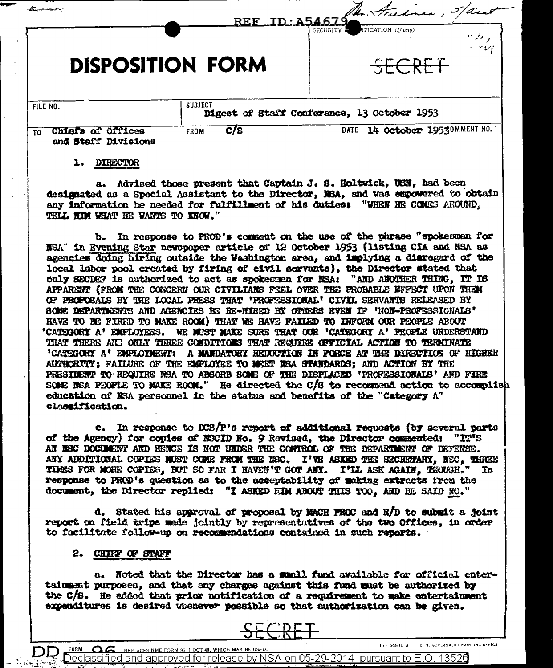|                                                                         | Mr. Fredrica,<br>REF ID: 15467<br>IFICATION (If any)<br>SECURITY & |
|-------------------------------------------------------------------------|--------------------------------------------------------------------|
| <b>DISPOSITION FORM</b>                                                 | والمبتردا<br>$ \vee$ $\vee$ $\vee$<br>SECRET                       |
| <b>SUBJECT</b><br>FILE NO.                                              | Digest of Staff Conference, 13 October 1953                        |
| <b>Offices</b><br>Chiers of<br><b>FROM</b><br>T0<br>and Staff Divisions | 14 October 19530MMENT NO.1<br>C/S<br><b>DATE</b>                   |

#### 1. DIRECTOR

a. Advised those present that Captain J. S. Holtwick, USN, had been designated as a Special Assistant to the Director, MBA, and was exponered to obtain any information he needed for fulfillment of his duties: "WHEN HE COMES AROUND. TELL HIM WHAT HE WANTS TO KNOW."

b. In response to PROD's comment on the use of the phrase "spokesman for NSA" in Evening Star newspaper article of 12 October 1953 (listing CIA and NSA as agencies doing hiring outside the Washington area, and implying a disregard of the local labor pool created by firing of civil servants), the Director stated that caly SECDEF is authorized to act as spokesman for NSA: "AND ANOTHER THING, IT IS APPARENT (FROM THE CONCERN OUR CIVILIANS FEEL OVER THE PROBABLE EFFECT UPON THEM OF PROPOSALS BY THE LOCAL PRESS THAT 'PROFESSIONAL' CIVIL SERVANTS RELEASED BY SOME DEPARTMENTS AND AGENCIES BE RE-HIRED BY OTHERS EVEN IF 'NON-PROFESSIONALS' HAVE TO BE FIRED TO MAKE ROOM) THAT WE HAVE FAILED TO INFORM OUR PEOPLE ABOUT 'CATEGORY A' EMPLOYERS. WE MUST MAKE SURE THAT OUR 'CATEGORY A' PEOPLE UNDERSTAND THAT THERE AND ONLY THREE CONDITIONS THAT REGUIRE OFFICIAL ACTION TO TERMINATE 'CATEGORY A' ENFLOYMENT: A MANDATORY REDUCTION IN FORCE AT THE DIRECTION OF HIGHER AUTHORITY; FAILURE OF THE EMPLOYEE TO MEET NSA STANDARDS; AND ACTION BY THE PRESIDENT TO REQUIRE NSA TO ABSORB SOME OF THE DISPLACED 'PROFESSIONALS' AND FIRE SONE NEA PEOPLE TO MAKE ROOM." He directed the C/S to recommend action to accomplish education of RSA personnel in the status and benefits of the "Category A" classification.

c. In response to DCS/P's report of additional requests (by several parts of the Agency) for copies of NSCID No. 9 Revised, the Director commented: "IT'S AN NEG DOCUMENT AND HENCE IS NOT UNDER THE CONTROL OF THE DEPARTMENT OF DEFENSE. ANY ADDITIONAL COPIES MUST COME FROM THE NEC. I'VE ASKED THE SECRETARY, NEC, THREE TIMES FOR MORE COPIES. BUT SO FAR I HAVEN'T GOT ANY. I'LL ASK AGAIN. THOUGH." In response to PROD's question as to the acceptability of making extracts from the document, the Director replied: "I ASKED HIM ABOUT THIS TOO. AND HE SAID NO."

d. Stated his approval of proposal by MACH PROC and R/D to submit a joint report on field trips made jointly by representatives of the two Offices, in order to facilitate follow-up on recommendations contained in such reports.

# 2. CHIEF OF STAFF

FORM

 $\Omega$ 

a. Noted that the Director has a small fund available for official entertainment purposes, and that any charges against this fund must be authorized by the C/S. He added that prior notification of a requirement to make entertainment expenditures is desired whenever possible so that authorization can be given.



REPLACES NME FORM 96, 1 OCT 48, WHICH MAY BE USED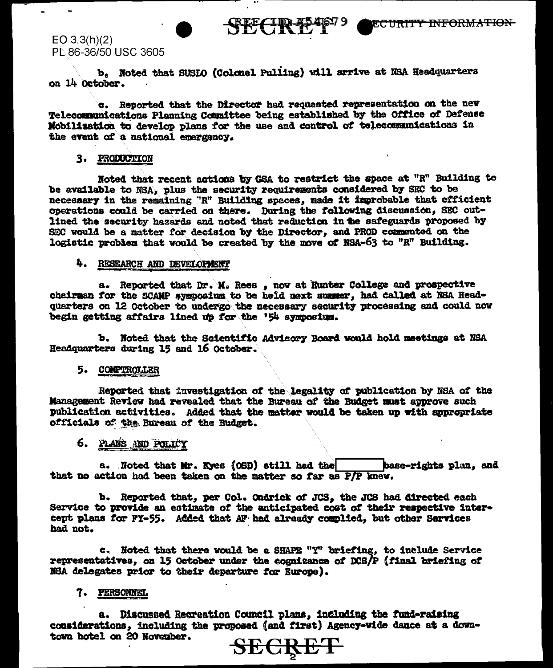

# $EO 3.3(h)(2)$ PL 86-36/50 USC 3605

b. Noted that SUSLO (Colonel Pulling) will arrive at NSA Headquarters on 14 October.

c. Reported that the Director had requested representation on the new Telecommunications Planning Committee being established by the Office of Defense Mobilization to develop plans for the use and control of telecommunications in the event of a national energency.

## 3. PRODUCTION

Noted that recent actions by GSA to restrict the space at "R" Building to be available to NSA, plus the security requirements considered by SEC to be necessary in the remaining "R" Building spaces, made it improbable that efficient operations could be carried on there. During the following discussion, SEC outlined the security hazards and noted that reduction in the safeguards proposed by SEC would be a matter for decision by the Director, and PROD commented on the logistic problem that would be created by the move of NSA-63 to "R" Building.

## 4. RESEARCH AND DEVELOPMENT

a. Reported that Dr. M. Rees, now at Hunter College and prospective chairman for the SCAMP symposium to be held next summer, had called at NSA Headquarters on 12 October to undergo the necessary security processing and could now begin getting affairs lined up for the '54 symposium.

b. Noted that the Scientific Advisory Board would hold meetings at NSA Headquarters during 15 and 16 October.

### 5. COMPTROLLER

Reported that investigation of the legality of publication by NSA of the Management Review had revealed that the Bureau of the Budget must approve such publication activities. Added that the matter would be taken up with appropriate officials of the Bureau of the Budget.

# 6. PLANS AND POLICY

a. Noted that Mr. Kyes (OSD) still had the base-rights plan, and that no action had been taken on the matter so far as P/P knew.

b. Reported that, per Col. Ondrick of JCS, the JCS had directed each Service to provide an estimate of the anticipated cost of their respective intercept plans for FY-55. Added that AF had already complied, but other Services had not.

c. Noted that there would be a SHAPE "Y" briefing, to include Service representatives, on 15 October under the cognizance of DCS/P (final briefing of NBA delegates prior to their departure for Europe).

# 7. PERSONNEL

a. Discussed Recreation Council plans, including the fund-raising considerations. including the proposed (and first) Agency-wide dance at a downtown hotel on 20 November.

<del>CRE'</del>